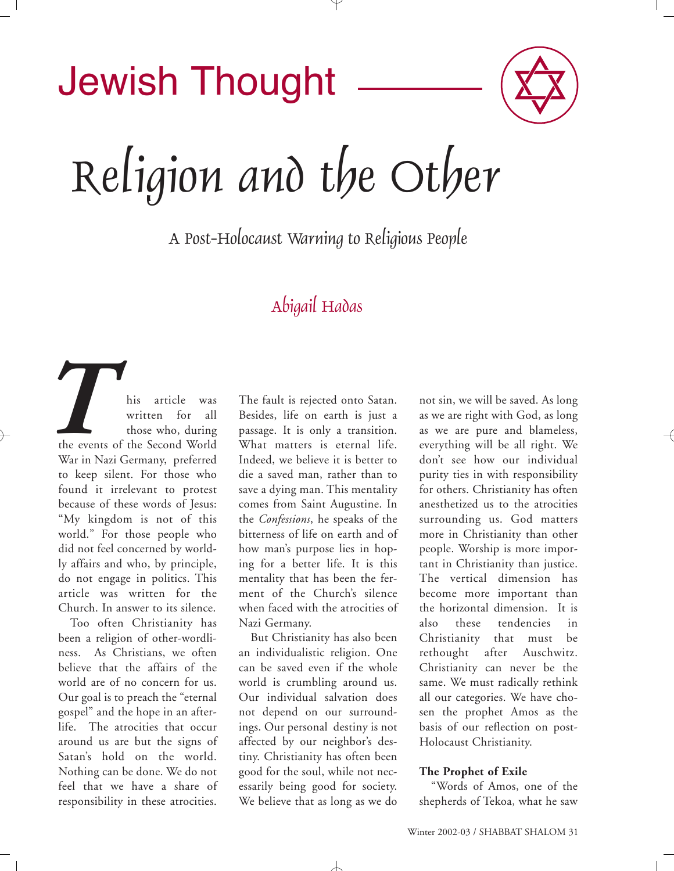# Jewish Thought

Religion and the Other

A Post-Holocaust Warning to Religious People

# Abigail Hadas

his article was written for all those who, during the events of the Second World War in Nazi Germany, preferred to keep silent. For those who found it irrelevant to protest because of these words of Jesus: "My kingdom is not of this world." For those people who did not feel concerned by worldly affairs and who, by principle, do not engage in politics. This article was written for the Church. In answer to its silence. *The events*<br>*War in Naz* 

Too often Christianity has been a religion of other-wordliness. As Christians, we often believe that the affairs of the world are of no concern for us. Our goal is to preach the "eternal gospel" and the hope in an afterlife. The atrocities that occur around us are but the signs of Satan's hold on the world. Nothing can be done. We do not feel that we have a share of responsibility in these atrocities. The fault is rejected onto Satan. Besides, life on earth is just a passage. It is only a transition. What matters is eternal life. Indeed, we believe it is better to die a saved man, rather than to save a dying man. This mentality comes from Saint Augustine. In the *Confessions*, he speaks of the bitterness of life on earth and of how man's purpose lies in hoping for a better life. It is this mentality that has been the ferment of the Church's silence when faced with the atrocities of Nazi Germany.

But Christianity has also been an individualistic religion. One can be saved even if the whole world is crumbling around us. Our individual salvation does not depend on our surroundings. Our personal destiny is not affected by our neighbor's destiny. Christianity has often been good for the soul, while not necessarily being good for society. We believe that as long as we do

not sin, we will be saved. As long as we are right with God, as long as we are pure and blameless, everything will be all right. We don't see how our individual purity ties in with responsibility for others. Christianity has often anesthetized us to the atrocities surrounding us. God matters more in Christianity than other people. Worship is more important in Christianity than justice. The vertical dimension has become more important than the horizontal dimension. It is also these tendencies in Christianity that must be rethought after Auschwitz. Christianity can never be the same. We must radically rethink all our categories. We have chosen the prophet Amos as the basis of our reflection on post-Holocaust Christianity.

#### **The Prophet of Exile**

"Words of Amos, one of the shepherds of Tekoa, what he saw

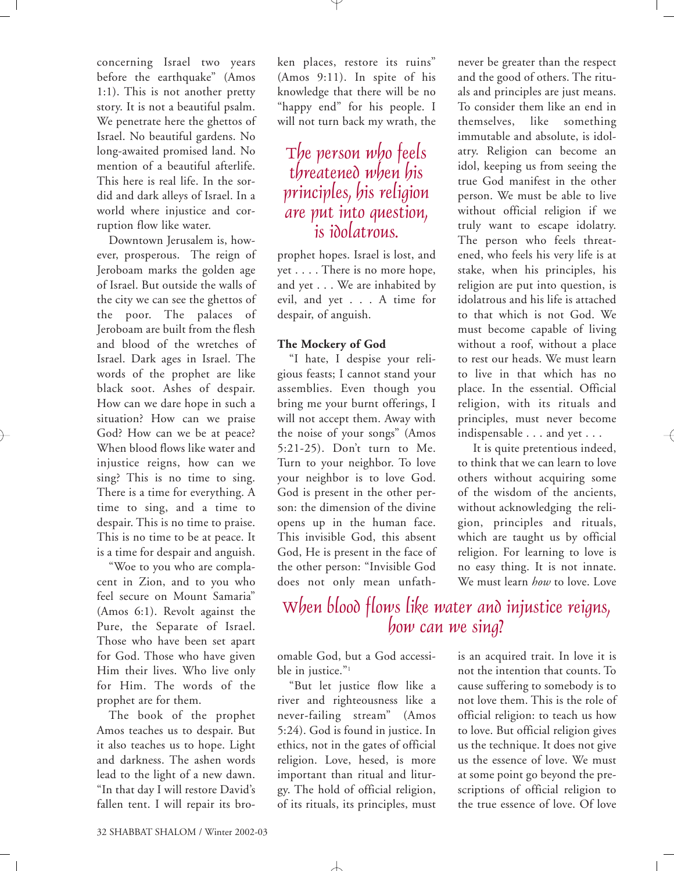concerning Israel two years before the earthquake" (Amos 1:1). This is not another pretty story. It is not a beautiful psalm. We penetrate here the ghettos of Israel. No beautiful gardens. No long-awaited promised land. No mention of a beautiful afterlife. This here is real life. In the sordid and dark alleys of Israel. In a world where injustice and corruption flow like water.

Downtown Jerusalem is, however, prosperous. The reign of Jeroboam marks the golden age of Israel. But outside the walls of the city we can see the ghettos of the poor. The palaces of Jeroboam are built from the flesh and blood of the wretches of Israel. Dark ages in Israel. The words of the prophet are like black soot. Ashes of despair. How can we dare hope in such a situation? How can we praise God? How can we be at peace? When blood flows like water and injustice reigns, how can we sing? This is no time to sing. There is a time for everything. A time to sing, and a time to despair. This is no time to praise. This is no time to be at peace. It is a time for despair and anguish.

"Woe to you who are complacent in Zion, and to you who feel secure on Mount Samaria" (Amos 6:1). Revolt against the Pure, the Separate of Israel. Those who have been set apart for God. Those who have given Him their lives. Who live only for Him. The words of the prophet are for them.

The book of the prophet Amos teaches us to despair. But it also teaches us to hope. Light and darkness. The ashen words lead to the light of a new dawn. "In that day I will restore David's fallen tent. I will repair its broken places, restore its ruins" (Amos 9:11). In spite of his knowledge that there will be no "happy end" for his people. I will not turn back my wrath, the

## The person who feels threatened when his principles, his religion are put into question, is idolatrous.

prophet hopes. Israel is lost, and yet . . . . There is no more hope, and yet . . . We are inhabited by evil, and yet . . . A time for despair, of anguish.

#### **The Mockery of God**

"I hate, I despise your religious feasts; I cannot stand your assemblies. Even though you bring me your burnt offerings, I will not accept them. Away with the noise of your songs" (Amos 5:21-25). Don't turn to Me. Turn to your neighbor. To love your neighbor is to love God. God is present in the other person: the dimension of the divine opens up in the human face. This invisible God, this absent God, He is present in the face of the other person: "Invisible God does not only mean unfath-

never be greater than the respect and the good of others. The rituals and principles are just means. To consider them like an end in themselves, like something immutable and absolute, is idolatry. Religion can become an idol, keeping us from seeing the true God manifest in the other person. We must be able to live without official religion if we truly want to escape idolatry. The person who feels threatened, who feels his very life is at stake, when his principles, his religion are put into question, is idolatrous and his life is attached to that which is not God. We must become capable of living without a roof, without a place to rest our heads. We must learn to live in that which has no place. In the essential. Official religion, with its rituals and principles, must never become indispensable . . . and yet . . .

It is quite pretentious indeed, to think that we can learn to love others without acquiring some of the wisdom of the ancients, without acknowledging the religion, principles and rituals, which are taught us by official religion. For learning to love is no easy thing. It is not innate. We must learn *how* to love. Love

## When blood flows like water and injustice reigns, how can we sing?

omable God, but a God accessible in justice."<sup>1</sup>

"But let justice flow like a river and righteousness like a never-failing stream" (Amos 5:24). God is found in justice. In ethics, not in the gates of official religion. Love, hesed, is more important than ritual and liturgy. The hold of official religion, of its rituals, its principles, must

 $\overline{\phantom{a}}$ 

is an acquired trait. In love it is not the intention that counts. To cause suffering to somebody is to not love them. This is the role of official religion: to teach us how to love. But official religion gives us the technique. It does not give us the essence of love. We must at some point go beyond the prescriptions of official religion to the true essence of love. Of love